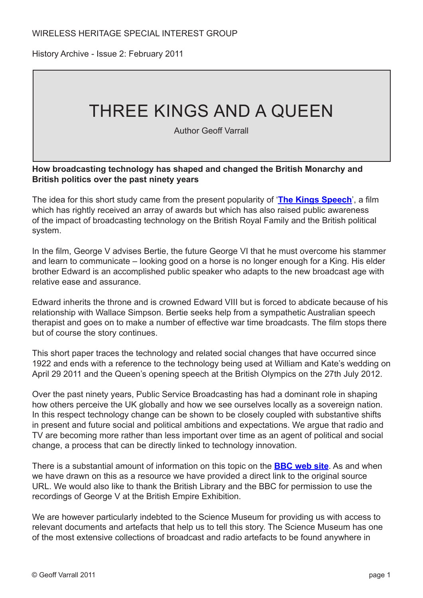History Archive - Issue 2: February 2011

# THREE KINGS AND A QUEEN

Author Geoff Varrall

#### **How broadcasting technology has shaped and changed the British Monarchy and British politics over the past ninety years**

The idea for this short study came from the present popularity of '**[The Kings Speech](http://www.kingsspeech.com/)**', a film which has rightly received an array of awards but which has also raised public awareness of the impact of broadcasting technology on the British Royal Family and the British political system.

In the film, George V advises Bertie, the future George VI that he must overcome his stammer and learn to communicate – looking good on a horse is no longer enough for a King. His elder brother Edward is an accomplished public speaker who adapts to the new broadcast age with relative ease and assurance.

Edward inherits the throne and is crowned Edward VIII but is forced to abdicate because of his relationship with Wallace Simpson. Bertie seeks help from a sympathetic Australian speech therapist and goes on to make a number of effective war time broadcasts. The film stops there but of course the story continues.

This short paper traces the technology and related social changes that have occurred since 1922 and ends with a reference to the technology being used at William and Kate's wedding on April 29 2011 and the Queen's opening speech at the British Olympics on the 27th July 2012.

Over the past ninety years, Public Service Broadcasting has had a dominant role in shaping how others perceive the UK globally and how we see ourselves locally as a sovereign nation. In this respect technology change can be shown to be closely coupled with substantive shifts in present and future social and political ambitions and expectations. We argue that radio and TV are becoming more rather than less important over time as an agent of political and social change, a process that can be directly linked to technology innovation.

There is a substantial amount of information on this topic on the **[BBC web site](http://www.bbc.co.uk/historyofthebbc/collections/bbc_collection/collection_archive_tech.shtml)**. As and when we have drawn on this as a resource we have provided a direct link to the original source URL. We would also like to thank the British Library and the BBC for permission to use the recordings of George V at the British Empire Exhibition.

We are however particularly indebted to the Science Museum for providing us with access to relevant documents and artefacts that help us to tell this story. The Science Museum has one of the most extensive collections of broadcast and radio artefacts to be found anywhere in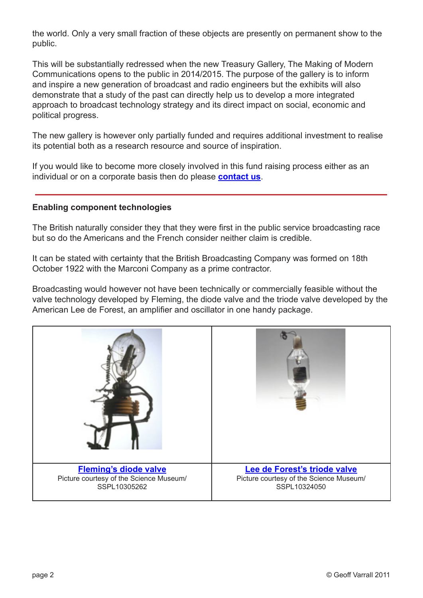the world. Only a very small fraction of these objects are presently on permanent show to the public.

This will be substantially redressed when the new Treasury Gallery, The Making of Modern Communications opens to the public in 2014/2015. The purpose of the gallery is to inform and inspire a new generation of broadcast and radio engineers but the exhibits will also demonstrate that a study of the past can directly help us to develop a more integrated approach to broadcast technology strategy and its direct impact on social, economic and political progress.

The new gallery is however only partially funded and requires additional investment to realise its potential both as a research resource and source of inspiration.

If you would like to become more closely involved in this fund raising process either as an individual or on a corporate basis then do please **[contact us](mailto:geoff@rttonline.com)**.

#### **Enabling component technologies**

The British naturally consider they that they were first in the public service broadcasting race but so do the Americans and the French consider neither claim is credible.

It can be stated with certainty that the British Broadcasting Company was formed on 18th October 1922 with the Marconi Company as a prime contractor.

Broadcasting would however not have been technically or commercially feasible without the valve technology developed by Fleming, the diode valve and the triode valve developed by the American Lee de Forest, an amplifier and oscillator in one handy package.

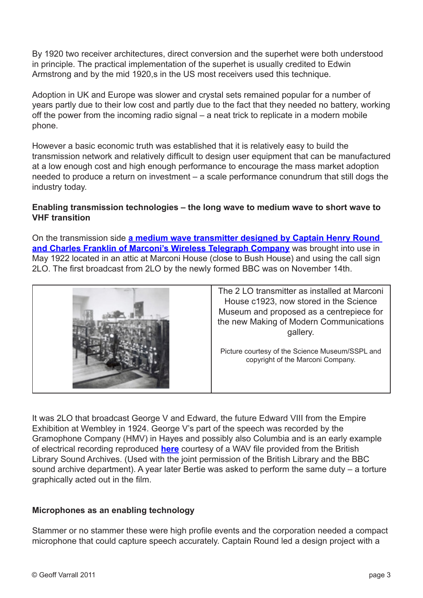By 1920 two receiver architectures, direct conversion and the superhet were both understood in principle. The practical implementation of the superhet is usually credited to Edwin Armstrong and by the mid 1920,s in the US most receivers used this technique.

Adoption in UK and Europe was slower and crystal sets remained popular for a number of years partly due to their low cost and partly due to the fact that they needed no battery, working off the power from the incoming radio signal – a neat trick to replicate in a modern mobile phone.

However a basic economic truth was established that it is relatively easy to build the transmission network and relatively difficult to design user equipment that can be manufactured at a low enough cost and high enough performance to encourage the mass market adoption needed to produce a return on investment – a scale performance conundrum that still dogs the industry today.

## **Enabling transmission technologies – the long wave to medium wave to short wave to VHF transition**

On the transmission side **[a medium wave transmitter designed by Captain Henry Round](http://www.sciencemuseum.org.uk/onlinestuff/stories/2lo.aspx)  [and Charles Franklin of Marconi's Wireless Telegraph Company](http://www.sciencemuseum.org.uk/onlinestuff/stories/2lo.aspx)** was brought into use in May 1922 located in an attic at Marconi House (close to Bush House) and using the call sign 2LO. The first broadcast from 2LO by the newly formed BBC was on November 14th.



It was 2LO that broadcast George V and Edward, the future Edward VIII from the Empire Exhibition at Wembley in 1924. George V's part of the speech was recorded by the Gramophone Company (HMV) in Hayes and possibly also Columbia and is an early example of electrical recording reproduced **[here](http://www.rttonline.com/documents/01Track1.wma)** courtesy of a WAV file provided from the British Library Sound Archives. (Used with the joint permission of the British Library and the BBC sound archive department). A year later Bertie was asked to perform the same duty – a torture graphically acted out in the film.

# **Microphones as an enabling technology**

Stammer or no stammer these were high profile events and the corporation needed a compact microphone that could capture speech accurately. Captain Round led a design project with a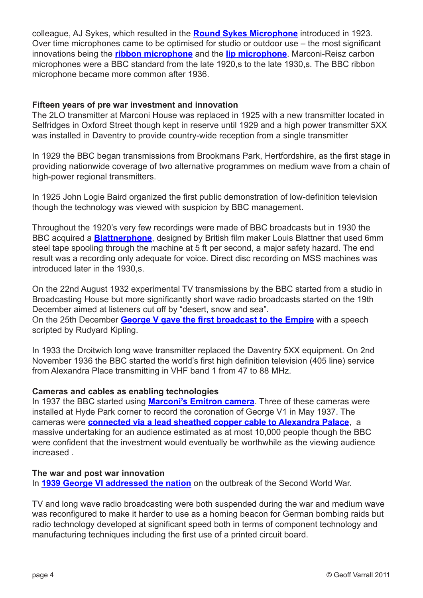colleague, AJ Sykes, which resulted in the **[Round Sykes Microphone](http://www.bbc.co.uk/historyofthebbc/collections/bbc_collection/collection_archive_tech.shtml)** introduced in 1923. Over time microphones came to be optimised for studio or outdoor use – the most significant innovations being the **[ribbon microphone](http://www.bbc.co.uk/historyofthebbc/collections/bbc_collection/collection_archive_tech.shtml)** and the **[lip microphone](http://www.bbc.co.uk/historyofthebbc/collections/bbc_collection/collection_archive_tech.shtml)**. Marconi-Reisz carbon microphones were a BBC standard from the late 1920,s to the late 1930,s. The BBC ribbon microphone became more common after 1936.

#### **Fifteen years of pre war investment and innovation**

The 2LO transmitter at Marconi House was replaced in 1925 with a new transmitter located in Selfridges in Oxford Street though kept in reserve until 1929 and a high power transmitter 5XX was installed in Daventry to provide country-wide reception from a single transmitter

In 1929 the BBC began transmissions from Brookmans Park, Hertfordshire, as the first stage in providing nationwide coverage of two alternative programmes on medium wave from a chain of high-power regional transmitters.

In 1925 John Logie Baird organized the first public demonstration of low-definition television though the technology was viewed with suspicion by BBC management.

Throughout the 1920's very few recordings were made of BBC broadcasts but in 1930 the BBC acquired a **[Blattnerphone](http://www.bbc.co.uk/ahistoryoftheworld/objects/hnj413KZQx2FKn6nCLnUJA)**, designed by British film maker Louis Blattner that used 6mm steel tape spooling through the machine at 5 ft per second, a major safety hazard. The end result was a recording only adequate for voice. Direct disc recording on MSS machines was introduced later in the 1930,s.

On the 22nd August 1932 experimental TV transmissions by the BBC started from a studio in Broadcasting House but more significantly short wave radio broadcasts started on the 19th December aimed at listeners cut off by "desert, snow and sea". On the 25th December **[George V gave the first broadcast to the Empire](http://www.bbc.co.uk/worldservice/history/story/2007/02/070123_html_1930s.shtml)** with a speech scripted by Rudyard Kipling.

In 1933 the Droitwich long wave transmitter replaced the Daventry 5XX equipment. On 2nd November 1936 the BBC started the world's first high definition television (405 line) service from Alexandra Place transmitting in VHF band 1 from 47 to 88 MHz.

#### **Cameras and cables as enabling technologies**

In 1937 the BBC started using **[Marconi's Emitron camera](http://www.bbc.co.uk/historyofthebbc/collections/buildings/alexandra_palace.shtml)**. Three of these cameras were installed at Hyde Park corner to record the coronation of George V1 in May 1937. The cameras were **[connected via a lead sheathed copper cable to Alexandra Palace](http://www.bbc.co.uk/historyofthebbc/collections/bbc_collection/collection_archive_tech.shtml)**, a massive undertaking for an audience estimated as at most 10,000 people though the BBC were confident that the investment would eventually be worthwhile as the viewing audience increased .

#### **The war and post war innovation**

In **[1939 George VI addressed the nation](http://www.bbc.co.uk/news/entertainment-arts-12020794)** on the outbreak of the Second World War.

TV and long wave radio broadcasting were both suspended during the war and medium wave was reconfigured to make it harder to use as a homing beacon for German bombing raids but radio technology developed at significant speed both in terms of component technology and manufacturing techniques including the first use of a printed circuit board.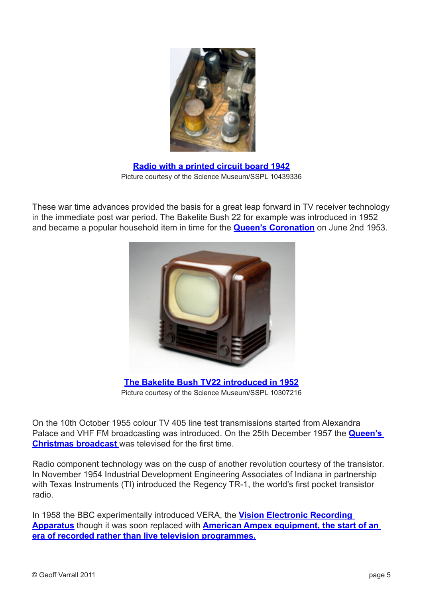

**[Radio with a printed circuit board 1942](http://www.makingthemodernworld.org.uk/icons_of_invention/technology/1939-1968/IC.104/)** Picture courtesy of the Science Museum/SSPL 10439336

These war time advances provided the basis for a great leap forward in TV receiver technology in the immediate post war period. The Bakelite Bush 22 for example was introduced in 1952 and became a popular household item in time for the **[Queen's Coronation](http://www.royal.gov.uk/LatestNewsandDiary/Pressreleases/2003/50factsaboutTheQueensCoronation.aspx)** on June 2nd 1953.



**[The Bakelite Bush TV22 introduced in 1952](http://www.sciencemuseum.org.uk/objects/radio_communication/1971-76.aspx)** Picture courtesy of the Science Museum/SSPL 10307216

On the 10th October 1955 colour TV 405 line test transmissions started from Alexandra Palace and VHF FM broadcasting was introduced. On the 25th December 1957 the **[Queen's](http://www.youtube.com/watch?v=mBRP-o6Q85s)  [Christmas broadcast](http://www.youtube.com/watch?v=mBRP-o6Q85s)** was televised for the first time.

Radio component technology was on the cusp of another revolution courtesy of the transistor. In November 1954 Industrial Development Engineering Associates of Indiana in partnership with Texas Instruments (TI) introduced the Regency TR-1, the world's first pocket transistor radio.

In 1958 the BBC experimentally introduced VERA, the **[Vision Electronic Recording](http://www.youtube.com/watch?v=0f1GDQDB0Ss&feature=related)  [Apparatus](http://www.youtube.com/watch?v=0f1GDQDB0Ss&feature=related)** though it was soon replaced with **[American Ampex equipment, the start of an](http://www.ampex.com/l-corp-history.html)  [era of recorded rather than live television programmes.](http://www.ampex.com/l-corp-history.html)**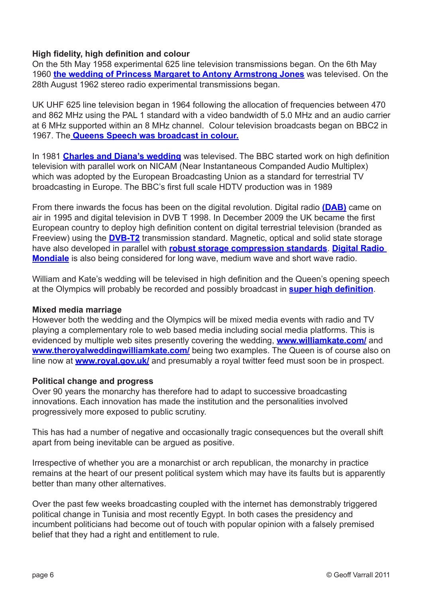## **High fidelity, high definition and colour**

On the 5th May 1958 experimental 625 line television transmissions began. On the 6th May 1960 **[the wedding of Princess Margaret to Antony Armstrong Jones](http://news.bbc.co.uk/onthisday/hi/dates/stories/may/6/newsid_3993000/3993317.stm)** was televised. On the 28th August 1962 stereo radio experimental transmissions began.

UK UHF 625 line television began in 1964 following the allocation of frequencies between 470 and 862 MHz using the PAL 1 standard with a video bandwidth of 5.0 MHz and an audio carrier at 6 MHz supported within an 8 MHz channel. Colour television broadcasts began on BBC2 in 1967. The **[Queens Speech was broadcast in colour.](http://news.bbc.co.uk/onthisday/hi/dates/stories/march/3/newsid_2514000/2514719.stm)**

In 1981 **[Charles and Diana's wedding](http://news.bbc.co.uk/onthisday/hi/dates/stories/july/29/newsid_2494000/2494949.stm)** was televised. The BBC started work on high definition television with parallel work on NICAM (Near Instantaneous Companded Audio Multiplex) which was adopted by the European Broadcasting Union as a standard for terrestrial TV broadcasting in Europe. The BBC's first full scale HDTV production was in 1989

From there inwards the focus has been on the digital revolution. Digital radio **[\(DAB\)](http://www.worlddab.org/)** came on air in 1995 and digital television in DVB T 1998. In December 2009 the UK became the first European country to deploy high definition content on digital terrestrial television (branded as Freeview) using the **[DVB-T2](http://www.dvb.org/technology/dvbt2/index.xml)** transmission standard. Magnetic, optical and solid state storage have also developed in parallel with **[robust storage compression standards](http://www.cs.cf.ac.uk/Dave/Multimedia/node255.html)**. **[Digital Radio](http://www.drm.org/)  [Mondiale](http://www.drm.org/)** is also being considered for long wave, medium wave and short wave radio.

William and Kate's wedding will be televised in high definition and the Queen's opening speech at the Olympics will probably be recorded and possibly broadcast in **[super high definition](http://news.bbc.co.uk/1/hi/programmes/click_online/9045240.stm)**.

#### **Mixed media marriage**

However both the wedding and the Olympics will be mixed media events with radio and TV playing a complementary role to web based media including social media platforms. This is evidenced by multiple web sites presently covering the wedding, **[www.williamkate.com/](http://www.williamkate.com/)** and **[www.theroyalweddingwilliamkate.com/](http://www.theroyalweddingwilliamkate.com/)** being two examples. The Queen is of course also on line now at **[www.royal.gov.uk/](http://www.royal.gov.uk/)** and presumably a royal twitter feed must soon be in prospect.

#### **Political change and progress**

Over 90 years the monarchy has therefore had to adapt to successive broadcasting innovations. Each innovation has made the institution and the personalities involved progressively more exposed to public scrutiny.

This has had a number of negative and occasionally tragic consequences but the overall shift apart from being inevitable can be argued as positive.

Irrespective of whether you are a monarchist or arch republican, the monarchy in practice remains at the heart of our present political system which may have its faults but is apparently better than many other alternatives.

Over the past few weeks broadcasting coupled with the internet has demonstrably triggered political change in Tunisia and most recently Egypt. In both cases the presidency and incumbent politicians had become out of touch with popular opinion with a falsely premised belief that they had a right and entitlement to rule.